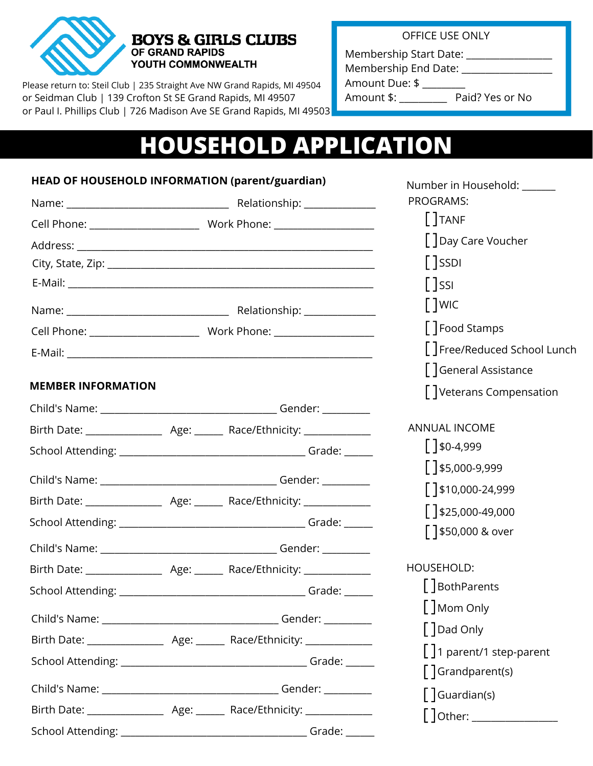

## **BOYS & GIRLS CLUBS** OF GRAND RAPIDS YOUTH COMMONWEALTH

Please return to: Steil Club | 235 Straight Ave NW Grand Rapids, MI 49504 or Seidman Club | 139 Crofton St SE Grand Rapids, MI 49507 or Paul I. Phillips Club | 726 Madison Ave SE Grand Rapids, MI 49503 OFFICE USE ONLY

Membership Start Date: Membership End Date: \_\_\_\_\_\_\_\_\_\_\_\_\_\_\_\_\_\_\_

Amount Due: \$ \_\_\_\_\_\_\_\_\_

Amount \$: \_\_\_\_\_\_\_\_\_\_ Paid? Yes or No

Number in Household: \_\_\_\_\_\_\_

# **HOUSEHOLD APPLICATION**

## **HEAD OF HOUSEHOLD INFORMATION (parent/guardian)**

|                           | PROGRAMS:                                      |
|---------------------------|------------------------------------------------|
|                           | $[$ ]TANF                                      |
|                           | [] Day Care Voucher                            |
|                           | $\left[\ \right]$ SSDI                         |
|                           | $\lfloor$ SSI                                  |
|                           | $\left[\begin{array}{c}\end{array}\right]$ WIC |
|                           | Food Stamps                                    |
|                           | [] Free/Reduced School Lunch                   |
|                           | [] General Assistance                          |
| <b>MEMBER INFORMATION</b> | Veterans Compensation                          |
|                           |                                                |
|                           | <b>ANNUAL INCOME</b>                           |
|                           | $150-4,999$                                    |
|                           | $5,000-9,999$                                  |
|                           | $\lceil$ \$10,000-24,999                       |
|                           | $\lceil$ \$25,000-49,000                       |
|                           | ∫ 350,000 & over                               |
|                           |                                                |
|                           | HOUSEHOLD:                                     |
|                           | [] BothParents                                 |
|                           | [] Mom Only                                    |
|                           | $[$ $]$ Dad Only                               |
|                           | $\lceil \cdot \rceil$ 1 parent/1 step-parent   |
|                           | $\lceil$ Grandparent(s)                        |
|                           | $\int$ Guardian(s)                             |
|                           |                                                |
|                           | Grade: $\rule{1em}{0.15mm}$                    |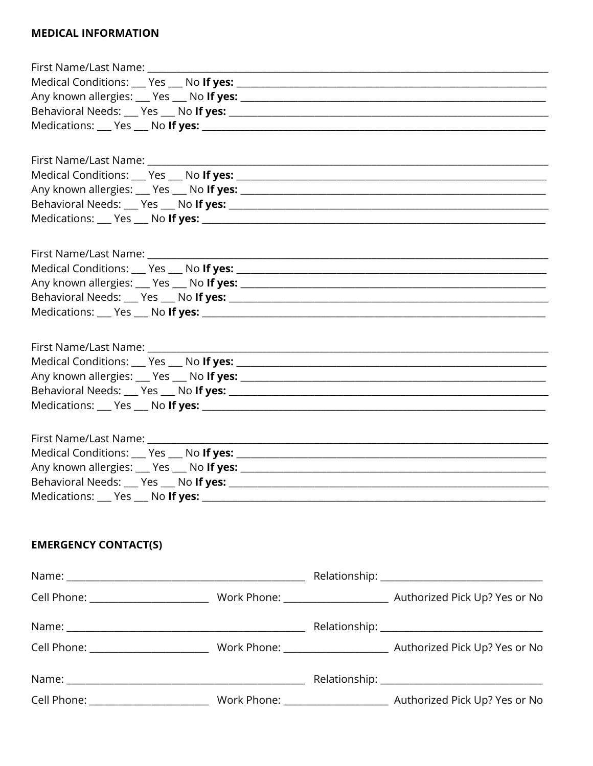#### **MEDICAL INFORMATION**

| <b>EMERGENCY CONTACT(S)</b> |  |
|-----------------------------|--|
|                             |  |
|                             |  |
|                             |  |
|                             |  |
|                             |  |
|                             |  |
|                             |  |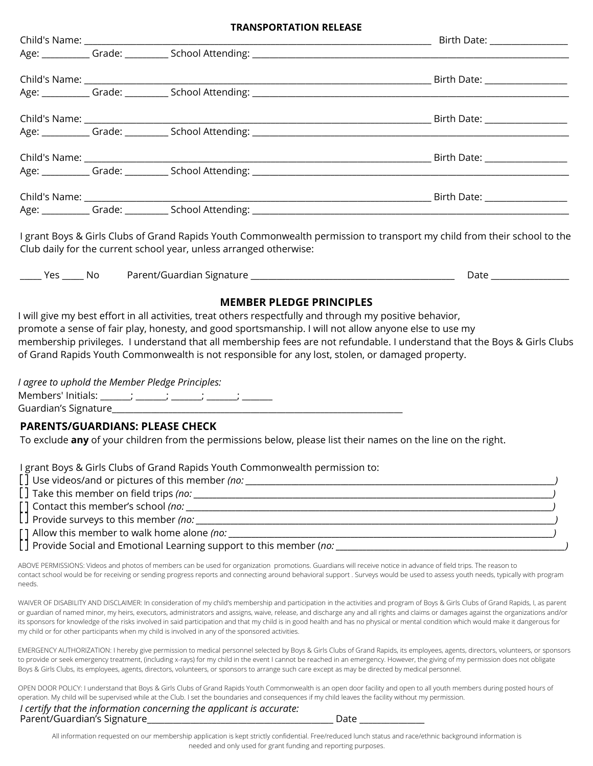| <b>TRANSPORTATION RELEASE</b>                                                                                                                                                                                                                                                                                                                                                                                                                                                                                                                                                                                                                                          |                              |  |  |  |
|------------------------------------------------------------------------------------------------------------------------------------------------------------------------------------------------------------------------------------------------------------------------------------------------------------------------------------------------------------------------------------------------------------------------------------------------------------------------------------------------------------------------------------------------------------------------------------------------------------------------------------------------------------------------|------------------------------|--|--|--|
|                                                                                                                                                                                                                                                                                                                                                                                                                                                                                                                                                                                                                                                                        | Birth Date: ________________ |  |  |  |
|                                                                                                                                                                                                                                                                                                                                                                                                                                                                                                                                                                                                                                                                        |                              |  |  |  |
|                                                                                                                                                                                                                                                                                                                                                                                                                                                                                                                                                                                                                                                                        |                              |  |  |  |
|                                                                                                                                                                                                                                                                                                                                                                                                                                                                                                                                                                                                                                                                        |                              |  |  |  |
|                                                                                                                                                                                                                                                                                                                                                                                                                                                                                                                                                                                                                                                                        |                              |  |  |  |
|                                                                                                                                                                                                                                                                                                                                                                                                                                                                                                                                                                                                                                                                        |                              |  |  |  |
|                                                                                                                                                                                                                                                                                                                                                                                                                                                                                                                                                                                                                                                                        |                              |  |  |  |
|                                                                                                                                                                                                                                                                                                                                                                                                                                                                                                                                                                                                                                                                        |                              |  |  |  |
|                                                                                                                                                                                                                                                                                                                                                                                                                                                                                                                                                                                                                                                                        |                              |  |  |  |
|                                                                                                                                                                                                                                                                                                                                                                                                                                                                                                                                                                                                                                                                        |                              |  |  |  |
|                                                                                                                                                                                                                                                                                                                                                                                                                                                                                                                                                                                                                                                                        |                              |  |  |  |
| Age: Grade: Carrier School Attending: Carrier Communication of the Carrier Communication of the Carrier Communication of the Carrier Communication of the Carrier Communication of the Carrier Communication of the Carrier Co                                                                                                                                                                                                                                                                                                                                                                                                                                         |                              |  |  |  |
| Club daily for the current school year, unless arranged otherwise:                                                                                                                                                                                                                                                                                                                                                                                                                                                                                                                                                                                                     |                              |  |  |  |
| membership privileges. I understand that all membership fees are not refundable. I understand that the Boys & Girls Clubs<br>of Grand Rapids Youth Commonwealth is not responsible for any lost, stolen, or damaged property.<br>I agree to uphold the Member Pledge Principles:                                                                                                                                                                                                                                                                                                                                                                                       |                              |  |  |  |
|                                                                                                                                                                                                                                                                                                                                                                                                                                                                                                                                                                                                                                                                        |                              |  |  |  |
| <b>PARENTS/GUARDIANS: PLEASE CHECK</b>                                                                                                                                                                                                                                                                                                                                                                                                                                                                                                                                                                                                                                 |                              |  |  |  |
| To exclude any of your children from the permissions below, please list their names on the line on the right.                                                                                                                                                                                                                                                                                                                                                                                                                                                                                                                                                          |                              |  |  |  |
| I grant Boys & Girls Clubs of Grand Rapids Youth Commonwealth permission to:                                                                                                                                                                                                                                                                                                                                                                                                                                                                                                                                                                                           |                              |  |  |  |
|                                                                                                                                                                                                                                                                                                                                                                                                                                                                                                                                                                                                                                                                        |                              |  |  |  |
|                                                                                                                                                                                                                                                                                                                                                                                                                                                                                                                                                                                                                                                                        |                              |  |  |  |
|                                                                                                                                                                                                                                                                                                                                                                                                                                                                                                                                                                                                                                                                        |                              |  |  |  |
|                                                                                                                                                                                                                                                                                                                                                                                                                                                                                                                                                                                                                                                                        |                              |  |  |  |
|                                                                                                                                                                                                                                                                                                                                                                                                                                                                                                                                                                                                                                                                        |                              |  |  |  |
| ABOVE PERMISSIONS: Videos and photos of members can be used for organization promotions. Guardians will receive notice in advance of field trips. The reason to<br>contact school would be for receiving or sending progress reports and connecting around behavioral support . Surveys would be used to assess youth needs, typically with program<br>needs.                                                                                                                                                                                                                                                                                                          |                              |  |  |  |
| WAIVER OF DISABILITY AND DISCLAIMER: In consideration of my child's membership and participation in the activities and program of Boys & Girls Clubs of Grand Rapids, I, as parent<br>or guardian of named minor, my heirs, executors, administrators and assigns, waive, release, and discharge any and all rights and claims or damages against the organizations and/or<br>its sponsors for knowledge of the risks involved in said participation and that my child is in good health and has no physical or mental condition which would make it dangerous for<br>my child or for other participants when my child is involved in any of the sponsored activities. |                              |  |  |  |

EMERGENCY AUTHORIZATION: I hereby give permission to medical personnel selected by Boys & Girls Clubs of Grand Rapids, its employees, agents, directors, volunteers, or sponsors to provide or seek emergency treatment, (including x-rays) for my child in the event I cannot be reached in an emergency. However, the giving of my permission does not obligate Boys & Girls Clubs, its employees, agents, directors, volunteers, or sponsors to arrange such care except as may be directed by medical personnel.

OPEN DOOR POLICY: I understand that Boys & Girls Clubs of Grand Rapids Youth Commonwealth is an open door facility and open to all youth members during posted hours of operation. My child will be supervised while at the Club. I set the boundaries and consequences if my child leaves the facility without my permission.

*I certify that the information concerning the applicant is accurate:* Parent/Guardian's Signature\_\_\_\_\_\_\_\_\_\_\_\_\_\_\_\_\_\_\_\_\_\_\_\_\_\_\_\_\_\_\_\_\_\_\_\_\_\_\_\_\_\_\_ Date \_\_\_\_\_\_\_\_\_\_\_\_\_\_\_

All information requested on our membership application is kept strictly confidential. Free/reduced lunch status and race/ethnic background information is needed and only used for grant funding and reporting purposes.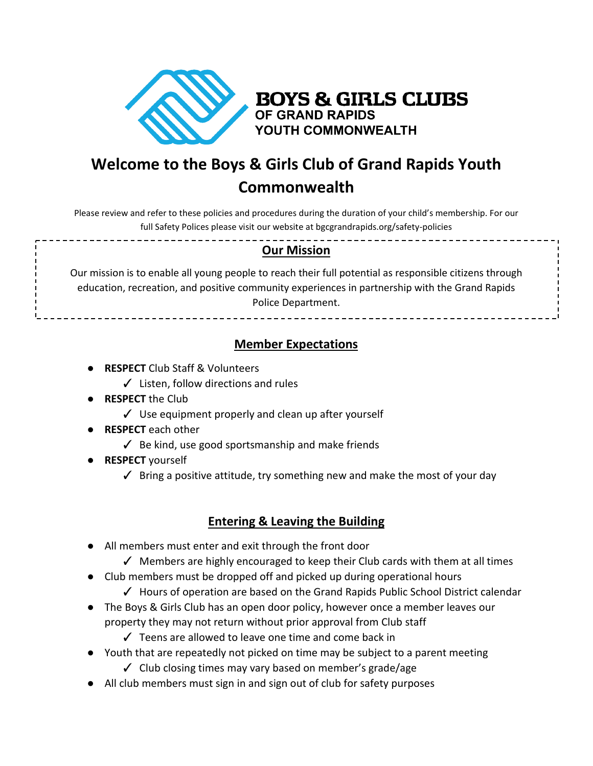

**BOYS & GIRLS CLUBS** OF GRAND RAPIDS YOUTH COMMONWEALTH

## **Welcome to the Boys & Girls Club of Grand Rapids Youth Commonwealth**

Please review and refer to these policies and procedures during the duration of your child's membership. For our full Safety Polices please visit our website at bgcgrandrapids.org/safety-policies

## **Our Mission**

Our mission is to enable all young people to reach their full potential as responsible citizens through education, recreation, and positive community experiences in partnership with the Grand Rapids Police Department.

## **Member Expectations**

- **RESPECT** Club Staff & Volunteers
	- ✓ Listen, follow directions and rules
- **RESPECT** the Club
	- ✓ Use equipment properly and clean up after yourself
- **RESPECT** each other
	- $\checkmark$  Be kind, use good sportsmanship and make friends
- **RESPECT** yourself
	- $\checkmark$  Bring a positive attitude, try something new and make the most of your day

## **Entering & Leaving the Building**

- All members must enter and exit through the front door
	- ✓ Members are highly encouraged to keep their Club cards with them at all times
- Club members must be dropped off and picked up during operational hours
	- ✓ Hours of operation are based on the Grand Rapids Public School District calendar
- The Boys & Girls Club has an open door policy, however once a member leaves our property they may not return without prior approval from Club staff
	- ✓ Teens are allowed to leave one time and come back in
- Youth that are repeatedly not picked on time may be subject to a parent meeting ✓ Club closing times may vary based on member's grade/age
- All club members must sign in and sign out of club for safety purposes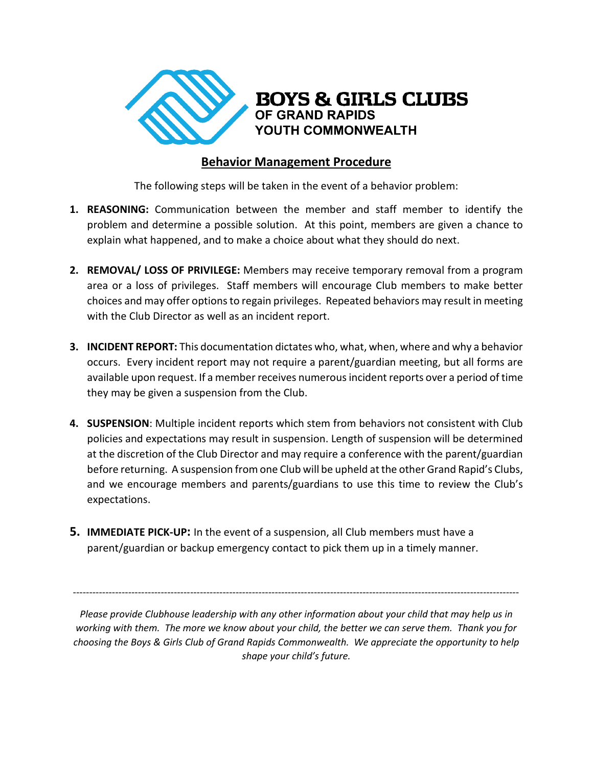

## **Behavior Management Procedure**

The following steps will be taken in the event of a behavior problem:

- **1. REASONING:** Communication between the member and staff member to identify the problem and determine a possible solution. At this point, members are given a chance to explain what happened, and to make a choice about what they should do next.
- **2. REMOVAL/ LOSS OF PRIVILEGE:** Members may receive temporary removal from a program area or a loss of privileges. Staff members will encourage Club members to make better choices and may offer options to regain privileges. Repeated behaviors may result in meeting with the Club Director as well as an incident report.
- **3. INCIDENT REPORT:** This documentation dictates who, what, when, where and why a behavior occurs. Every incident report may not require a parent/guardian meeting, but all forms are available upon request. If a member receives numerousincident reports over a period of time they may be given a suspension from the Club.
- **4. SUSPENSION**: Multiple incident reports which stem from behaviors not consistent with Club policies and expectations may result in suspension. Length of suspension will be determined at the discretion of the Club Director and may require a conference with the parent/guardian before returning. A suspension from one Club will be upheld at the other Grand Rapid's Clubs, and we encourage members and parents/guardians to use this time to review the Club's expectations.
- **5. IMMEDIATE PICK-UP:** In the event of a suspension, all Club members must have a parent/guardian or backup emergency contact to pick them up in a timely manner.

*Please provide Clubhouse leadership with any other information about your child that may help us in working with them. The more we know about your child, the better we can serve them. Thank you for choosing the Boys & Girls Club of Grand Rapids Commonwealth. We appreciate the opportunity to help shape your child's future.*

-----------------------------------------------------------------------------------------------------------------------------------------